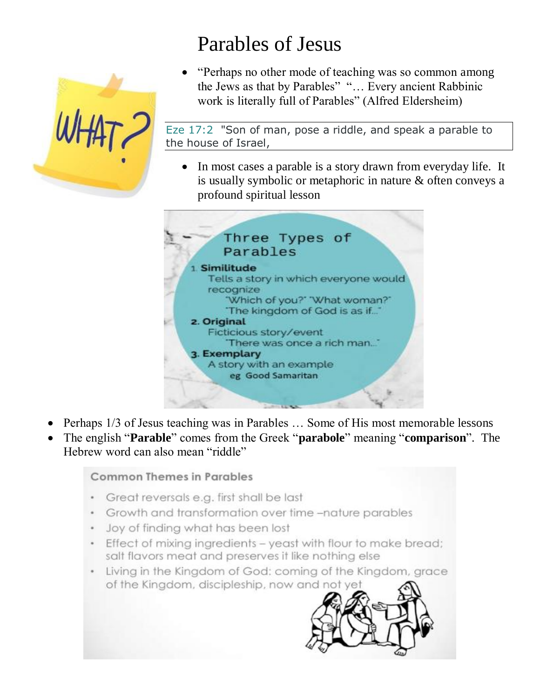

# Parables of Jesus

 "Perhaps no other mode of teaching was so common among the Jews as that by Parables" "… Every ancient Rabbinic work is literally full of Parables" (Alfred Eldersheim)

Eze 17:2 "Son of man, pose a riddle, and speak a parable to the house of Israel,

• In most cases a parable is a story drawn from everyday life. It is usually symbolic or metaphoric in nature & often conveys a profound spiritual lesson



- Perhaps 1/3 of Jesus teaching was in Parables … Some of His most memorable lessons
- The english "**Parable**" comes from the Greek "**parabole**" meaning "**comparison**". The Hebrew word can also mean "riddle"

**Common Themes in Parables** 

- Great reversals e.g. first shall be last
- Growth and transformation over time -nature parables
- Joy of finding what has been lost
- Effect of mixing ingredients yeast with flour to make bread; salt flavors meat and preserves it like nothing else
- Living in the Kingdom of God: coming of the Kingdom, grace of the Kingdom, discipleship, now and not yet

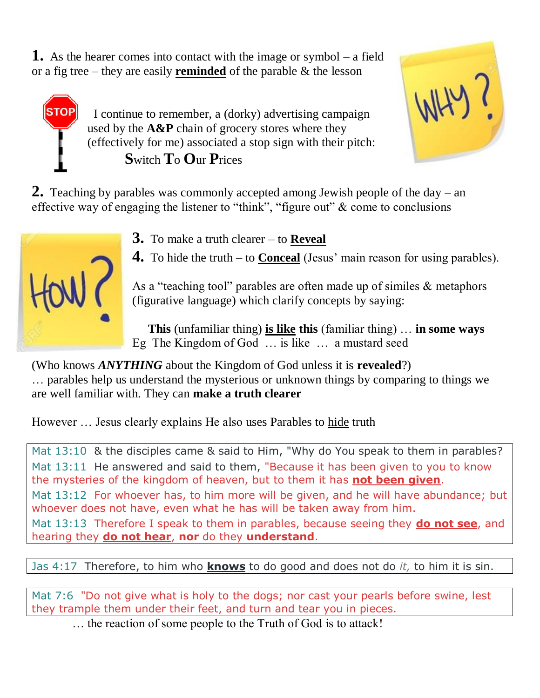**1.** As the hearer comes into contact with the image or symbol – a field or a fig tree – they are easily **reminded** of the parable & the lesson

> I continue to remember, a (dorky) advertising campaign used by the **A&P** chain of grocery stores where they (effectively for me) associated a stop sign with their pitch: **S**witch **T**o **O**ur **P**rices



**2.** Teaching by parables was commonly accepted among Jewish people of the day – an effective way of engaging the listener to "think", "figure out" & come to conclusions



**TOP** 

**3.** To make a truth clearer – to **Reveal**

**4.** To hide the truth – to **Conceal** (Jesus' main reason for using parables).

As a "teaching tool" parables are often made up of similes & metaphors (figurative language) which clarify concepts by saying:

 **This** (unfamiliar thing) **is like this** (familiar thing) … **in some ways** Eg The Kingdom of God … is like … a mustard seed

(Who knows *ANYTHING* about the Kingdom of God unless it is **revealed**?) … parables help us understand the mysterious or unknown things by comparing to things we are well familiar with. They can **make a truth clearer**

However … Jesus clearly explains He also uses Parables to hide truth

Mat 13:10 & the disciples came & said to Him, "Why do You speak to them in parables? Mat 13:11 He answered and said to them, "Because it has been given to you to know the mysteries of the kingdom of heaven, but to them it has **not been given**. Mat 13:12 For whoever has, to him more will be given, and he will have abundance; but whoever does not have, even what he has will be taken away from him. Mat 13:13 Therefore I speak to them in parables, because seeing they **do not see**, and hearing they **do not hear**, **nor** do they **understand**.

Jas 4:17 Therefore, to him who **knows** to do good and does not do *it,* to him it is sin.

Mat 7:6 "Do not give what is holy to the dogs; nor cast your pearls before swine, lest they trample them under their feet, and turn and tear you in pieces.

… the reaction of some people to the Truth of God is to attack!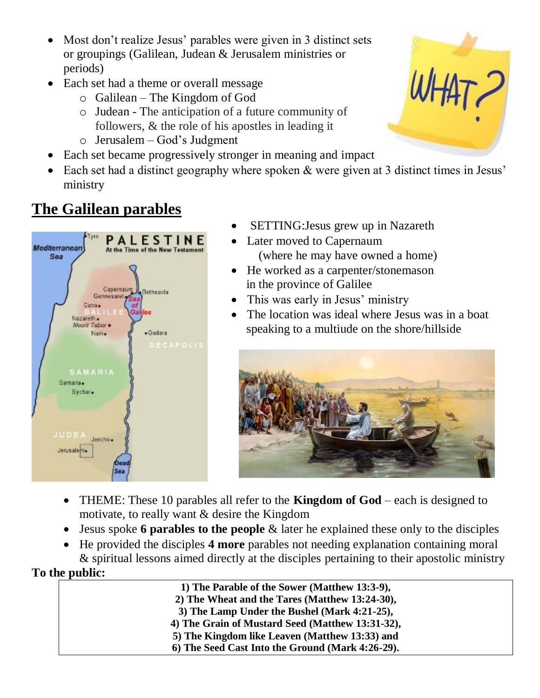- Most don't realize Jesus' parables were given in 3 distinct sets or groupings (Galilean, Judean & Jerusalem ministries or periods)
- Each set had a theme or overall message
	- o Galilean The Kingdom of God
	- o Judean The anticipation of a future community of followers, & the role of his apostles in leading it
	- o Jerusalem God's Judgment
- Each set became progressively stronger in meaning and impact
- Each set had a distinct geography where spoken & were given at 3 distinct times in Jesus' ministry

# **The Galilean parables**



- SETTING:Jesus grew up in Nazareth
- Later moved to Capernaum (where he may have owned a home)
- He worked as a carpenter/stonemason in the province of Galilee
- This was early in Jesus' ministry
- The location was ideal where Jesus was in a boat speaking to a multiude on the shore/hillside



- THEME: These 10 parables all refer to the **Kingdom of God** each is designed to motivate, to really want & desire the Kingdom
- Jesus spoke **6 parables to the people** & later he explained these only to the disciples
- He provided the disciples **4 more** parables not needing explanation containing moral & spiritual lessons aimed directly at the disciples pertaining to their apostolic ministry

# **To the public:**

- **1) The Parable of the Sower (Matthew 13:3-9),**
- **2) The Wheat and the Tares (Matthew 13:24-30),**
- **3) The Lamp Under the Bushel (Mark 4:21-25),**
- **4) The Grain of Mustard Seed (Matthew 13:31-32),**
- **5) The Kingdom like Leaven (Matthew 13:33) and**
- **6) The Seed Cast Into the Ground (Mark 4:26-29).**

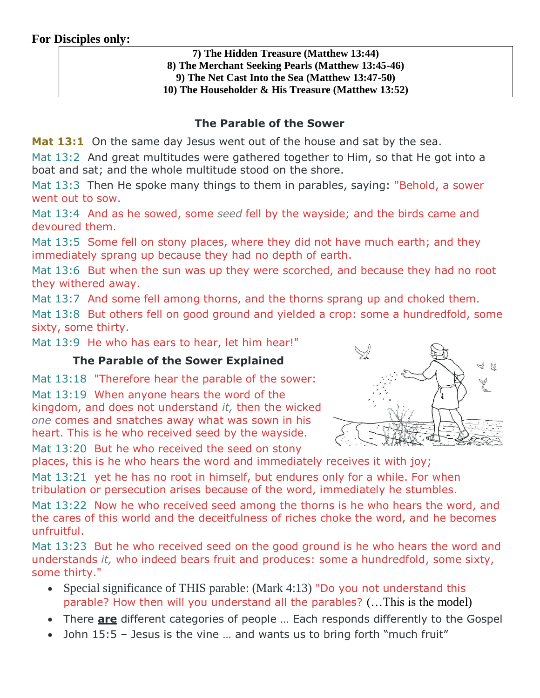#### **For Disciples only:**

#### **7) The Hidden Treasure (Matthew 13:44) 8) The Merchant Seeking Pearls (Matthew 13:45-46) 9) The Net Cast Into the Sea (Matthew 13:47-50) 10) The Householder & His Treasure (Matthew 13:52)**

#### **The Parable of the Sower**

**Mat 13:1** On the same day Jesus went out of the house and sat by the sea.

Mat 13:2 And great multitudes were gathered together to Him, so that He got into a boat and sat; and the whole multitude stood on the shore.

Mat 13:3 Then He spoke many things to them in parables, saying: "Behold, a sower went out to sow.

Mat 13:4 And as he sowed, some *seed* fell by the wayside; and the birds came and devoured them.

Mat 13:5 Some fell on stony places, where they did not have much earth; and they immediately sprang up because they had no depth of earth.

Mat 13:6 But when the sun was up they were scorched, and because they had no root they withered away.

Mat 13:7 And some fell among thorns, and the thorns sprang up and choked them.

Mat 13:8 But others fell on good ground and yielded a crop: some a hundredfold, some sixty, some thirty.

Mat 13:9 He who has ears to hear, let him hear!"

#### **The Parable of the Sower Explained**

Mat 13:18 "Therefore hear the parable of the sower:

Mat 13:19 When anyone hears the word of the kingdom, and does not understand *it,* then the wicked *one* comes and snatches away what was sown in his heart. This is he who received seed by the wayside.

Mat 13:20 But he who received the seed on stony

 $\mathcal{Q}$ 

places, this is he who hears the word and immediately receives it with joy;

Mat 13:21 yet he has no root in himself, but endures only for a while. For when tribulation or persecution arises because of the word, immediately he stumbles.

Mat 13:22 Now he who received seed among the thorns is he who hears the word, and the cares of this world and the deceitfulness of riches choke the word, and he becomes unfruitful.

Mat 13:23 But he who received seed on the good ground is he who hears the word and understands *it,* who indeed bears fruit and produces: some a hundredfold, some sixty, some thirty."

- Special significance of THIS parable: (Mark 4:13) "Do you not understand this parable? How then will you understand all the parables? (…This is the model)
- There **are** different categories of people … Each responds differently to the Gospel
- John 15:5 Jesus is the vine … and wants us to bring forth "much fruit"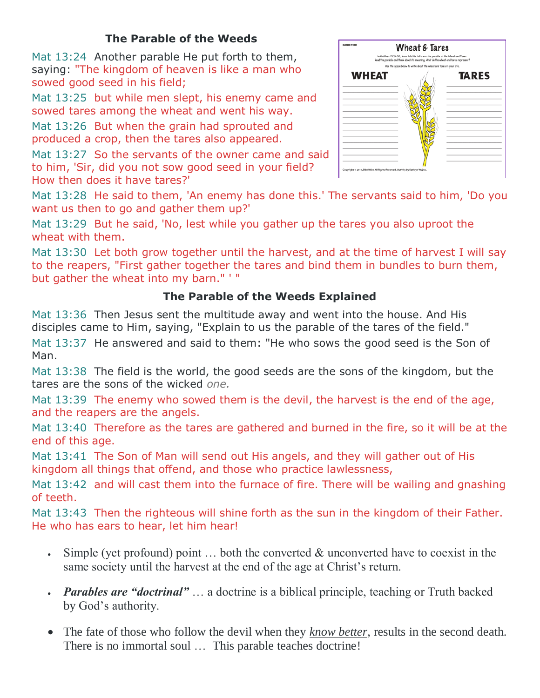#### **The Parable of the Weeds**

Mat 13:24 Another parable He put forth to them, saying: "The kingdom of heaven is like a man who sowed good seed in his field;

Mat 13:25 but while men slept, his enemy came and sowed tares among the wheat and went his way.

Mat 13:26 But when the grain had sprouted and produced a crop, then the tares also appeared.

Mat 13:27 So the servants of the owner came and said to him, 'Sir, did you not sow good seed in your field? How then does it have tares?'



Mat 13:28 He said to them, 'An enemy has done this.' The servants said to him, 'Do you want us then to go and gather them up?'

Mat 13:29 But he said, 'No, lest while you gather up the tares you also uproot the wheat with them.

Mat 13:30 Let both grow together until the harvest, and at the time of harvest I will say to the reapers, "First gather together the tares and bind them in bundles to burn them, but gather the wheat into my barn." ' "

#### **The Parable of the Weeds Explained**

Mat 13:36 Then Jesus sent the multitude away and went into the house. And His disciples came to Him, saying, "Explain to us the parable of the tares of the field."

Mat 13:37 He answered and said to them: "He who sows the good seed is the Son of Man.

Mat 13:38 The field is the world, the good seeds are the sons of the kingdom, but the tares are the sons of the wicked *one.*

Mat 13:39 The enemy who sowed them is the devil, the harvest is the end of the age, and the reapers are the angels.

Mat 13:40 Therefore as the tares are gathered and burned in the fire, so it will be at the end of this age.

Mat 13:41 The Son of Man will send out His angels, and they will gather out of His kingdom all things that offend, and those who practice lawlessness,

Mat 13:42 and will cast them into the furnace of fire. There will be wailing and gnashing of teeth.

Mat 13:43 Then the righteous will shine forth as the sun in the kingdom of their Father. He who has ears to hear, let him hear!

- Simple (yet profound) point  $\dots$  both the converted  $\&$  unconverted have to coexist in the same society until the harvest at the end of the age at Christ's return.
- *Parables are "doctrinal"* … a doctrine is a biblical principle, teaching or Truth backed by God's authority.
- The fate of those who follow the devil when they *know better*, results in the second death. There is no immortal soul … This parable teaches doctrine!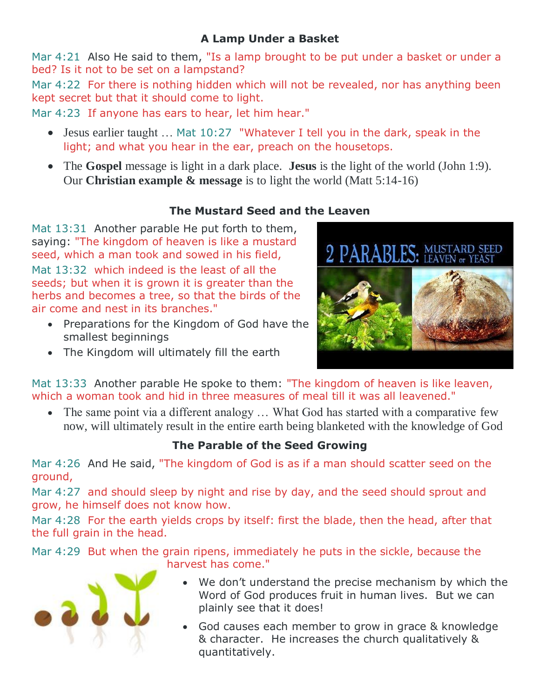#### **A Lamp Under a Basket**

Mar 4:21 Also He said to them, "Is a lamp brought to be put under a basket or under a bed? Is it not to be set on a lampstand?

Mar 4:22 For there is nothing hidden which will not be revealed, nor has anything been kept secret but that it should come to light.

Mar 4:23 If anyone has ears to hear, let him hear."

- Jesus earlier taught … Mat 10:27 "Whatever I tell you in the dark, speak in the light; and what you hear in the ear, preach on the housetops.
- The **Gospel** message is light in a dark place. **Jesus** is the light of the world (John 1:9). Our **Christian example & message** is to light the world (Matt 5:14-16)

# **The Mustard Seed and the Leaven**

Mat 13:31 Another parable He put forth to them, saying: "The kingdom of heaven is like a mustard seed, which a man took and sowed in his field, Mat 13:32 which indeed is the least of all the seeds; but when it is grown it is greater than the herbs and becomes a tree, so that the birds of the air come and nest in its branches."

- Preparations for the Kingdom of God have the smallest beginnings
- The Kingdom will ultimately fill the earth



Mat 13:33 Another parable He spoke to them: "The kingdom of heaven is like leaven, which a woman took and hid in three measures of meal till it was all leavened."

• The same point via a different analogy ... What God has started with a comparative few now, will ultimately result in the entire earth being blanketed with the knowledge of God

# **The Parable of the Seed Growing**

Mar 4:26 And He said, "The kingdom of God is as if a man should scatter seed on the ground,

Mar 4:27 and should sleep by night and rise by day, and the seed should sprout and grow, he himself does not know how.

Mar 4:28 For the earth yields crops by itself: first the blade, then the head, after that the full grain in the head.

Mar 4:29 But when the grain ripens, immediately he puts in the sickle, because the harvest has come."



- We don't understand the precise mechanism by which the Word of God produces fruit in human lives. But we can plainly see that it does!
- God causes each member to grow in grace & knowledge & character. He increases the church qualitatively & quantitatively.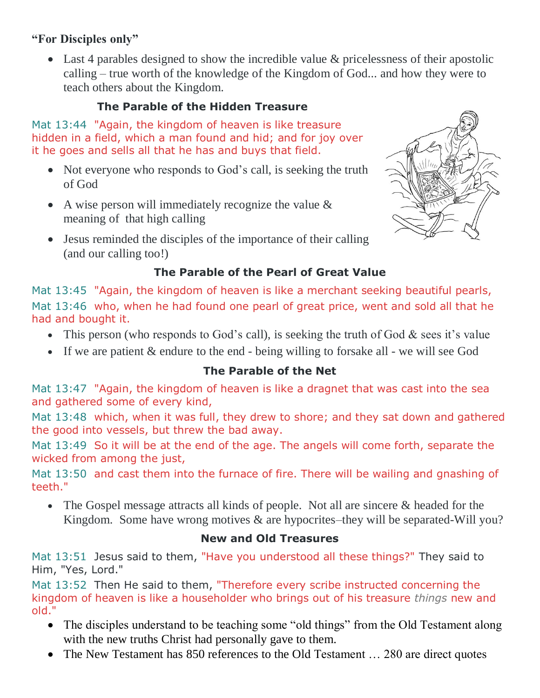#### **"For Disciples only"**

• Last 4 parables designed to show the incredible value & pricelessness of their apostolic calling – true worth of the knowledge of the Kingdom of God... and how they were to teach others about the Kingdom.

# **The Parable of the Hidden Treasure**

Mat 13:44 "Again, the kingdom of heaven is like treasure hidden in a field, which a man found and hid; and for joy over it he goes and sells all that he has and buys that field.

- Not everyone who responds to God's call, is seeking the truth of God
- A wise person will immediately recognize the value  $\&$ meaning of that high calling
- Jesus reminded the disciples of the importance of their calling (and our calling too!)



# **The Parable of the Pearl of Great Value**

Mat 13:45 "Again, the kingdom of heaven is like a merchant seeking beautiful pearls, Mat 13:46 who, when he had found one pearl of great price, went and sold all that he had and bought it.

- This person (who responds to God's call), is seeking the truth of God  $&$  sees it's value
- If we are patient & endure to the end being willing to forsake all we will see God

#### **The Parable of the Net**

Mat 13:47 "Again, the kingdom of heaven is like a dragnet that was cast into the sea and gathered some of every kind,

Mat 13:48 which, when it was full, they drew to shore; and they sat down and gathered the good into vessels, but threw the bad away.

Mat 13:49 So it will be at the end of the age. The angels will come forth, separate the wicked from among the just,

Mat 13:50 and cast them into the furnace of fire. There will be wailing and gnashing of teeth."

• The Gospel message attracts all kinds of people. Not all are sincere & headed for the Kingdom. Some have wrong motives & are hypocrites–they will be separated-Will you?

#### **New and Old Treasures**

Mat 13:51 Jesus said to them, "Have you understood all these things?" They said to Him, "Yes, Lord."

Mat 13:52 Then He said to them, "Therefore every scribe instructed concerning the kingdom of heaven is like a householder who brings out of his treasure *things* new and old."

- The disciples understand to be teaching some "old things" from the Old Testament along with the new truths Christ had personally gave to them.
- The New Testament has 850 references to the Old Testament ... 280 are direct quotes